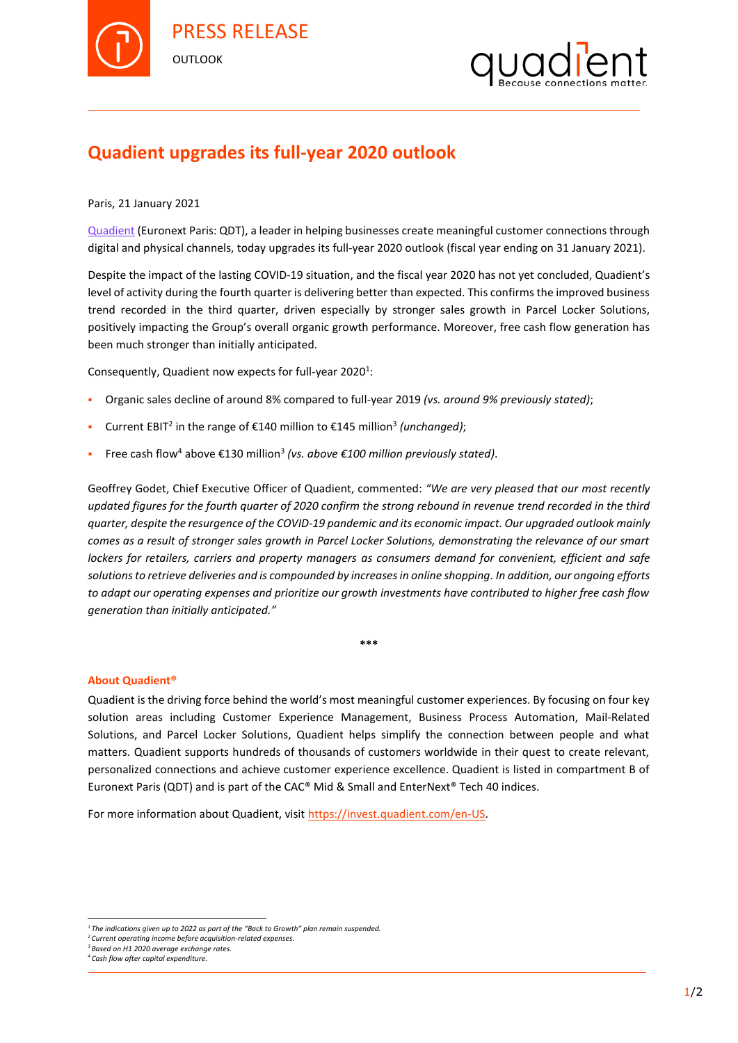



## **Quadient upgrades its full-year 2020 outlook**

Paris, 21 January 2021

[Quadient](https://www.quadient.com/) (Euronext Paris: QDT), a leader in helping businesses create meaningful customer connections through digital and physical channels, today upgrades its full-year 2020 outlook (fiscal year ending on 31 January 2021).

Despite the impact of the lasting COVID-19 situation, and the fiscal year 2020 has not yet concluded, Quadient's level of activity during the fourth quarter is delivering better than expected. This confirms the improved business trend recorded in the third quarter, driven especially by stronger sales growth in Parcel Locker Solutions, positively impacting the Group's overall organic growth performance. Moreover, free cash flow generation has been much stronger than initially anticipated.

Consequently, Quadient now expects for full-year 2020<sup>1</sup>:

- Organic sales decline of around 8% compared to full-year 2019 *(vs. around 9% previously stated)*;
- Current EBIT<sup>2</sup> in the range of €140 million to €145 million<sup>3</sup> (unchanged);
- Free cash flow<sup>4</sup> above €130 million<sup>3</sup> *(vs. above €100 million previously stated)*.

Geoffrey Godet, Chief Executive Officer of Quadient, commented: *"We are very pleased that our most recently updated figures for the fourth quarter of 2020 confirm the strong rebound in revenue trend recorded in the third quarter, despite the resurgence of the COVID-19 pandemic and its economic impact. Our upgraded outlook mainly comes as a result of stronger sales growth in Parcel Locker Solutions, demonstrating the relevance of our smart lockers for retailers, carriers and property managers as consumers demand for convenient, efficient and safe solutions to retrieve deliveries and is compounded by increases in online shopping. In addition, our ongoing efforts to adapt our operating expenses and prioritize our growth investments have contributed to higher free cash flow generation than initially anticipated."*

**\*\*\***

## **About Quadient®**

Quadient is the driving force behind the world's most meaningful customer experiences. By focusing on four key solution areas including Customer Experience Management, Business Process Automation, Mail-Related Solutions, and Parcel Locker Solutions, Quadient helps simplify the connection between people and what matters. Quadient supports hundreds of thousands of customers worldwide in their quest to create relevant, personalized connections and achieve customer experience excellence. Quadient is listed in compartment B of Euronext Paris (QDT) and is part of the CAC® Mid & Small and EnterNext® Tech 40 indices.

For more information about Quadient, visi[t https://invest.quadient.com/en-US.](https://invest.quadient.com/en-US)

 $\overline{a}$ 

*<sup>1</sup> The indications given up to 2022 as part of the "Back to Growth" plan remain suspended.*

*<sup>2</sup> Current operating income before acquisition-related expenses.*

*<sup>3</sup>Based on H1 2020 average exchange rates.*

*<sup>4</sup> Cash flow after capital expenditure.*